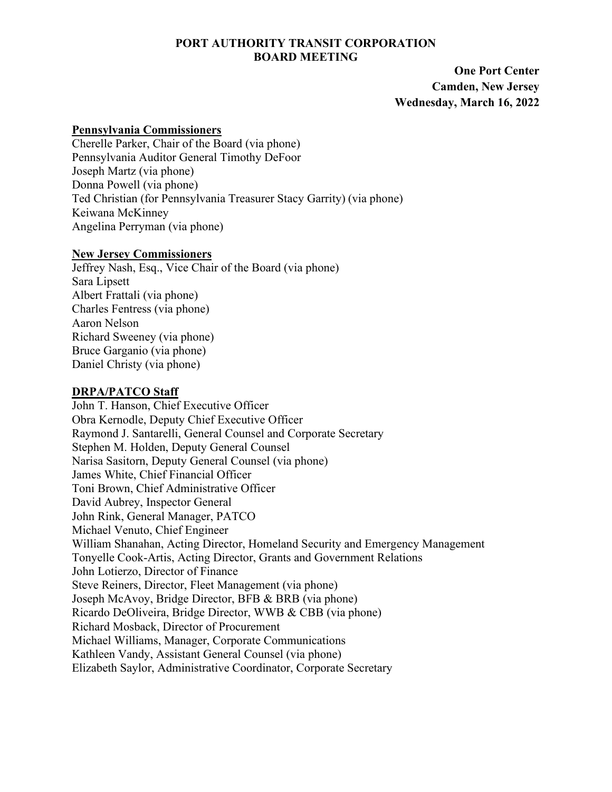### **PORT AUTHORITY TRANSIT CORPORATION BOARD MEETING**

 **One Port Center Camden, New Jersey Wednesday, March 16, 2022** 

#### **Pennsylvania Commissioners**

Cherelle Parker, Chair of the Board (via phone) Pennsylvania Auditor General Timothy DeFoor Joseph Martz (via phone) Donna Powell (via phone) Ted Christian (for Pennsylvania Treasurer Stacy Garrity) (via phone) Keiwana McKinney Angelina Perryman (via phone)

#### **New Jersey Commissioners**

Jeffrey Nash, Esq., Vice Chair of the Board (via phone) Sara Lipsett Albert Frattali (via phone) Charles Fentress (via phone) Aaron Nelson Richard Sweeney (via phone) Bruce Garganio (via phone) Daniel Christy (via phone)

# **DRPA/PATCO Staff**

John T. Hanson, Chief Executive Officer Obra Kernodle, Deputy Chief Executive Officer Raymond J. Santarelli, General Counsel and Corporate Secretary Stephen M. Holden, Deputy General Counsel Narisa Sasitorn, Deputy General Counsel (via phone) James White, Chief Financial Officer Toni Brown, Chief Administrative Officer David Aubrey, Inspector General John Rink, General Manager, PATCO Michael Venuto, Chief Engineer William Shanahan, Acting Director, Homeland Security and Emergency Management Tonyelle Cook-Artis, Acting Director, Grants and Government Relations John Lotierzo, Director of Finance Steve Reiners, Director, Fleet Management (via phone) Joseph McAvoy, Bridge Director, BFB & BRB (via phone) Ricardo DeOliveira, Bridge Director, WWB & CBB (via phone) Richard Mosback, Director of Procurement Michael Williams, Manager, Corporate Communications Kathleen Vandy, Assistant General Counsel (via phone) Elizabeth Saylor, Administrative Coordinator, Corporate Secretary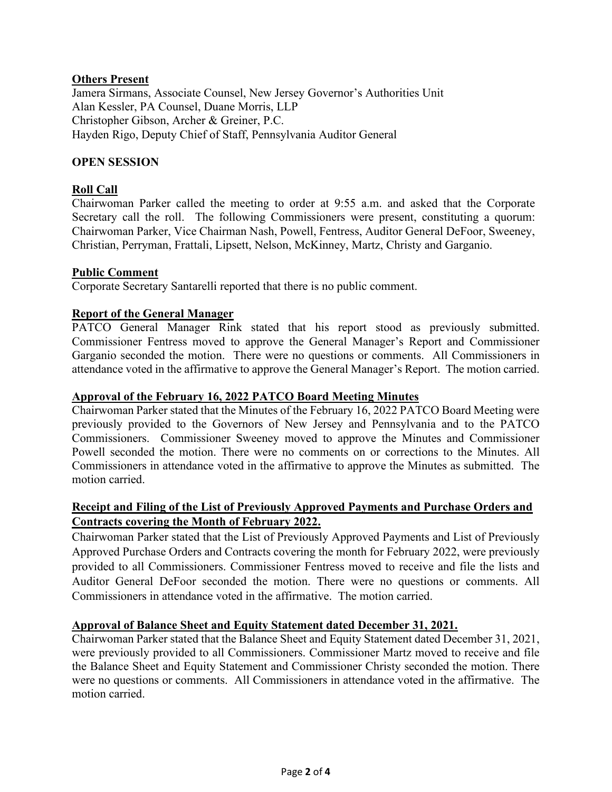## **Others Present**

Jamera Sirmans, Associate Counsel, New Jersey Governor's Authorities Unit Alan Kessler, PA Counsel, Duane Morris, LLP Christopher Gibson, Archer & Greiner, P.C. Hayden Rigo, Deputy Chief of Staff, Pennsylvania Auditor General

## **OPEN SESSION**

## **Roll Call**

Chairwoman Parker called the meeting to order at 9:55 a.m. and asked that the Corporate Secretary call the roll. The following Commissioners were present, constituting a quorum: Chairwoman Parker, Vice Chairman Nash, Powell, Fentress, Auditor General DeFoor, Sweeney, Christian, Perryman, Frattali, Lipsett, Nelson, McKinney, Martz, Christy and Garganio.

### **Public Comment**

Corporate Secretary Santarelli reported that there is no public comment.

### **Report of the General Manager**

PATCO General Manager Rink stated that his report stood as previously submitted. Commissioner Fentress moved to approve the General Manager's Report and Commissioner Garganio seconded the motion. There were no questions or comments. All Commissioners in attendance voted in the affirmative to approve the General Manager's Report. The motion carried.

#### **Approval of the February 16, 2022 PATCO Board Meeting Minutes**

Chairwoman Parker stated that the Minutes of the February 16, 2022 PATCO Board Meeting were previously provided to the Governors of New Jersey and Pennsylvania and to the PATCO Commissioners. Commissioner Sweeney moved to approve the Minutes and Commissioner Powell seconded the motion. There were no comments on or corrections to the Minutes. All Commissioners in attendance voted in the affirmative to approve the Minutes as submitted. The motion carried.

# **Receipt and Filing of the List of Previously Approved Payments and Purchase Orders and Contracts covering the Month of February 2022.**

Chairwoman Parker stated that the List of Previously Approved Payments and List of Previously Approved Purchase Orders and Contracts covering the month for February 2022, were previously provided to all Commissioners. Commissioner Fentress moved to receive and file the lists and Auditor General DeFoor seconded the motion. There were no questions or comments. All Commissioners in attendance voted in the affirmative. The motion carried.

#### **Approval of Balance Sheet and Equity Statement dated December 31, 2021.**

Chairwoman Parker stated that the Balance Sheet and Equity Statement dated December 31, 2021, were previously provided to all Commissioners. Commissioner Martz moved to receive and file the Balance Sheet and Equity Statement and Commissioner Christy seconded the motion. There were no questions or comments. All Commissioners in attendance voted in the affirmative. The motion carried.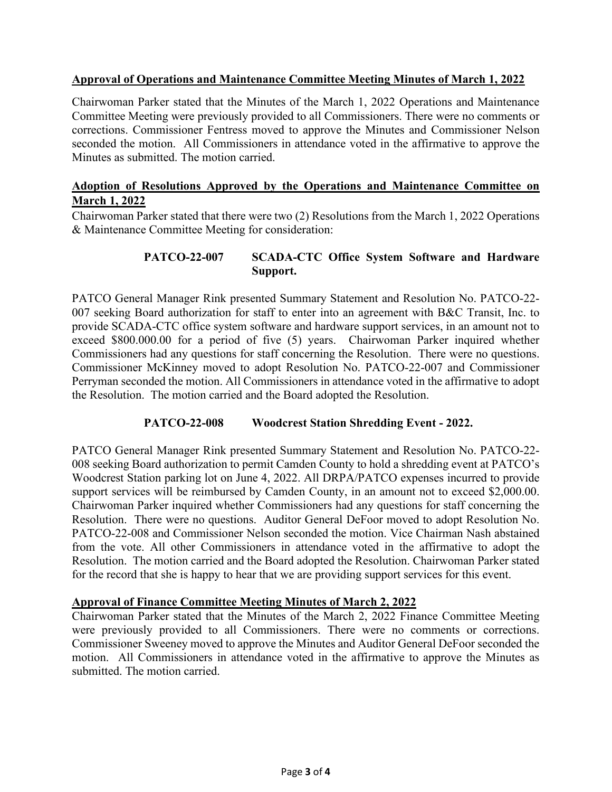## **Approval of Operations and Maintenance Committee Meeting Minutes of March 1, 2022**

Chairwoman Parker stated that the Minutes of the March 1, 2022 Operations and Maintenance Committee Meeting were previously provided to all Commissioners. There were no comments or corrections. Commissioner Fentress moved to approve the Minutes and Commissioner Nelson seconded the motion. All Commissioners in attendance voted in the affirmative to approve the Minutes as submitted. The motion carried.

## **Adoption of Resolutions Approved by the Operations and Maintenance Committee on March 1, 2022**

Chairwoman Parker stated that there were two (2) Resolutions from the March 1, 2022 Operations & Maintenance Committee Meeting for consideration:

### **PATCO-22-007 SCADA-CTC Office System Software and Hardware Support.**

PATCO General Manager Rink presented Summary Statement and Resolution No. PATCO-22- 007 seeking Board authorization for staff to enter into an agreement with B&C Transit, Inc. to provide SCADA-CTC office system software and hardware support services, in an amount not to exceed \$800.000.00 for a period of five (5) years. Chairwoman Parker inquired whether Commissioners had any questions for staff concerning the Resolution. There were no questions. Commissioner McKinney moved to adopt Resolution No. PATCO-22-007 and Commissioner Perryman seconded the motion. All Commissioners in attendance voted in the affirmative to adopt the Resolution. The motion carried and the Board adopted the Resolution.

### **PATCO-22-008 Woodcrest Station Shredding Event - 2022.**

PATCO General Manager Rink presented Summary Statement and Resolution No. PATCO-22- 008 seeking Board authorization to permit Camden County to hold a shredding event at PATCO's Woodcrest Station parking lot on June 4, 2022. All DRPA/PATCO expenses incurred to provide support services will be reimbursed by Camden County, in an amount not to exceed \$2,000.00. Chairwoman Parker inquired whether Commissioners had any questions for staff concerning the Resolution. There were no questions. Auditor General DeFoor moved to adopt Resolution No. PATCO-22-008 and Commissioner Nelson seconded the motion. Vice Chairman Nash abstained from the vote. All other Commissioners in attendance voted in the affirmative to adopt the Resolution. The motion carried and the Board adopted the Resolution. Chairwoman Parker stated for the record that she is happy to hear that we are providing support services for this event.

### **Approval of Finance Committee Meeting Minutes of March 2, 2022**

Chairwoman Parker stated that the Minutes of the March 2, 2022 Finance Committee Meeting were previously provided to all Commissioners. There were no comments or corrections. Commissioner Sweeney moved to approve the Minutes and Auditor General DeFoor seconded the motion. All Commissioners in attendance voted in the affirmative to approve the Minutes as submitted. The motion carried.